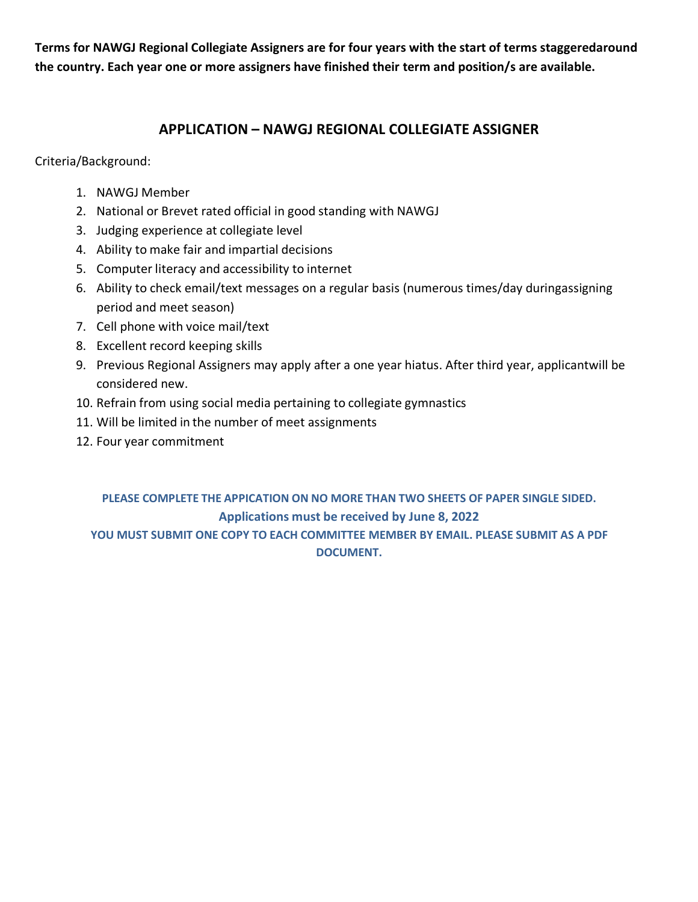**Terms for NAWGJ Regional Collegiate Assigners are for four years with the start of terms staggeredaround the country. Each year one or more assigners have finished their term and position/s are available.**

#### **APPLICATION – NAWGJ REGIONAL COLLEGIATE ASSIGNER**

Criteria/Background:

- 1. NAWGJ Member
- 2. National or Brevet rated official in good standing with NAWGJ
- 3. Judging experience at collegiate level
- 4. Ability to make fair and impartial decisions
- 5. Computer literacy and accessibility to internet
- 6. Ability to check email/text messages on a regular basis (numerous times/day duringassigning period and meet season)
- 7. Cell phone with voice mail/text
- 8. Excellent record keeping skills
- 9. Previous Regional Assigners may apply after a one year hiatus. After third year, applicantwill be considered new.
- 10. Refrain from using social media pertaining to collegiate gymnastics
- 11. Will be limited in the number of meet assignments
- 12. Four year commitment

#### **PLEASE COMPLETE THE APPICATION ON NO MORE THAN TWO SHEETS OF PAPER SINGLE SIDED. Applications must be received by June 8, 2022 YOU MUST SUBMIT ONE COPY TO EACH COMMITTEE MEMBER BY EMAIL. PLEASE SUBMIT AS A PDF DOCUMENT.**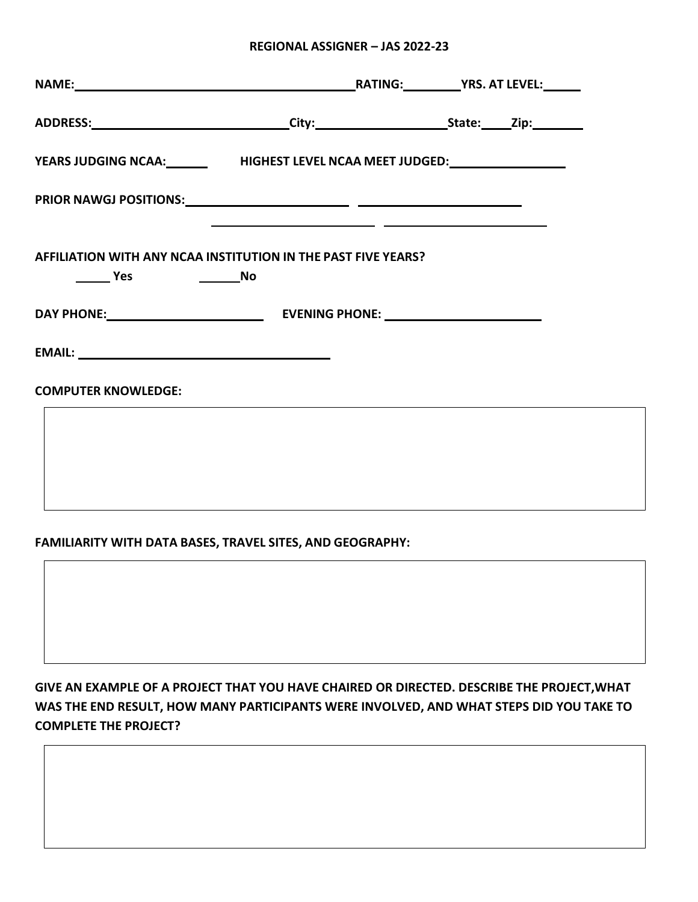#### **REGIONAL ASSIGNER – JAS 2022-23**

| YEARS JUDGING NCAA:_______________HIGHEST LEVEL NCAA MEET JUDGED:_______________                                      |  |  |
|-----------------------------------------------------------------------------------------------------------------------|--|--|
| <u> 1989 - Andrea San Andrea San Aonaichte ann an Comhair ann an Comhair ann an Comhair ann an Comhair ann an C</u>   |  |  |
| AFFILIATION WITH ANY NCAA INSTITUTION IN THE PAST FIVE YEARS?<br>______________________No<br>$\rule{1em}{0.15mm}$ Yes |  |  |
|                                                                                                                       |  |  |
|                                                                                                                       |  |  |
| <b>COMPUTER KNOWLEDGE:</b>                                                                                            |  |  |
|                                                                                                                       |  |  |
|                                                                                                                       |  |  |
|                                                                                                                       |  |  |

#### **FAMILIARITY WITH DATA BASES, TRAVEL SITES, AND GEOGRAPHY:**

**GIVE AN EXAMPLE OF A PROJECT THAT YOU HAVE CHAIRED OR DIRECTED. DESCRIBE THE PROJECT,WHAT WAS THE END RESULT, HOW MANY PARTICIPANTS WERE INVOLVED, AND WHAT STEPS DID YOU TAKE TO COMPLETE THE PROJECT?**